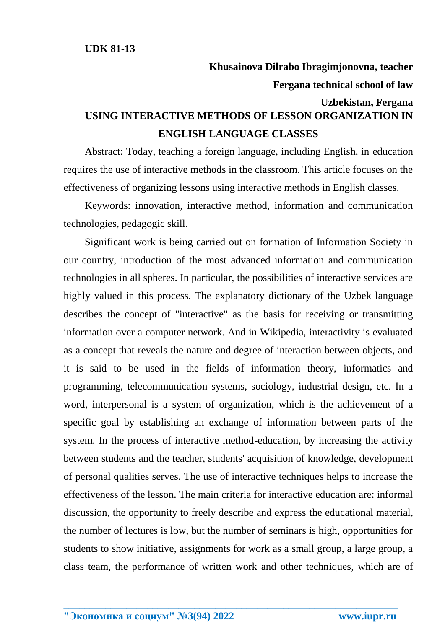## **Khusainova Dilrabo Ibragimjonovna, teacher Fergana technical school of law Uzbekistan, Fergana USING INTERACTIVE METHODS OF LESSON ORGANIZATION IN ENGLISH LANGUAGE CLASSES**

Abstract: Today, teaching a foreign language, including English, in education requires the use of interactive methods in the classroom. This article focuses on the effectiveness of organizing lessons using interactive methods in English classes.

Keywords: innovation, interactive method, information and communication technologies, pedagogic skill.

Significant work is being carried out on formation of Information Society in our country, introduction of the most advanced information and communication technologies in all spheres. In particular, the possibilities of interactive services are highly valued in this process. The explanatory dictionary of the Uzbek language describes the concept of "interactive" as the basis for receiving or transmitting information over a computer network. And in Wikipedia, interactivity is evaluated as a concept that reveals the nature and degree of interaction between objects, and it is said to be used in the fields of information theory, informatics and programming, telecommunication systems, sociology, industrial design, etc. In a word, interpersonal is a system of organization, which is the achievement of a specific goal by establishing an exchange of information between parts of the system. In the process of interactive method-education, by increasing the activity between students and the teacher, students' acquisition of knowledge, development of personal qualities serves. The use of interactive techniques helps to increase the effectiveness of the lesson. The main criteria for interactive education are: informal discussion, the opportunity to freely describe and express the educational material, the number of lectures is low, but the number of seminars is high, opportunities for students to show initiative, assignments for work as a small group, a large group, a class team, the performance of written work and other techniques, which are of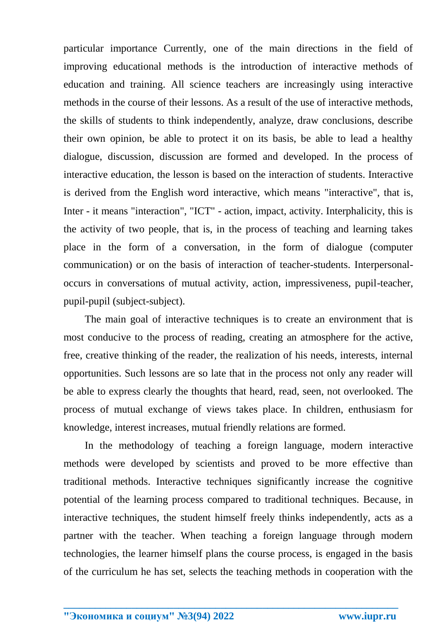particular importance Currently, one of the main directions in the field of improving educational methods is the introduction of interactive methods of education and training. All science teachers are increasingly using interactive methods in the course of their lessons. As a result of the use of interactive methods, the skills of students to think independently, analyze, draw conclusions, describe their own opinion, be able to protect it on its basis, be able to lead a healthy dialogue, discussion, discussion are formed and developed. In the process of interactive education, the lesson is based on the interaction of students. Interactive is derived from the English word interactive, which means "interactive", that is, Inter - it means "interaction", "ICT" - action, impact, activity. Interphalicity, this is the activity of two people, that is, in the process of teaching and learning takes place in the form of a conversation, in the form of dialogue (computer communication) or on the basis of interaction of teacher-students. Interpersonaloccurs in conversations of mutual activity, action, impressiveness, pupil-teacher, pupil-pupil (subject-subject).

The main goal of interactive techniques is to create an environment that is most conducive to the process of reading, creating an atmosphere for the active, free, creative thinking of the reader, the realization of his needs, interests, internal opportunities. Such lessons are so late that in the process not only any reader will be able to express clearly the thoughts that heard, read, seen, not overlooked. The process of mutual exchange of views takes place. In children, enthusiasm for knowledge, interest increases, mutual friendly relations are formed.

In the methodology of teaching a foreign language, modern interactive methods were developed by scientists and proved to be more effective than traditional methods. Interactive techniques significantly increase the cognitive potential of the learning process compared to traditional techniques. Because, in interactive techniques, the student himself freely thinks independently, acts as a partner with the teacher. When teaching a foreign language through modern technologies, the learner himself plans the course process, is engaged in the basis of the curriculum he has set, selects the teaching methods in cooperation with the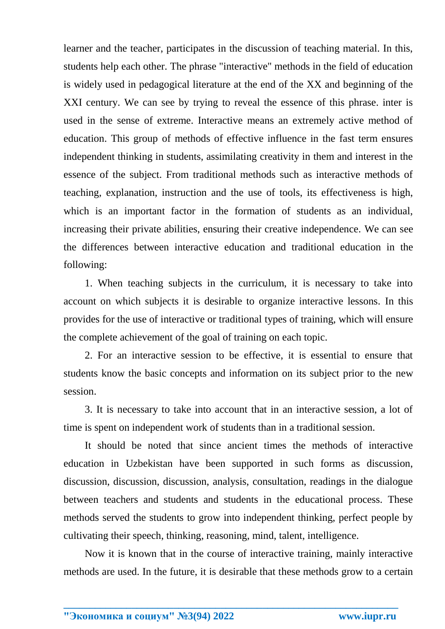learner and the teacher, participates in the discussion of teaching material. In this, students help each other. The phrase "interactive" methods in the field of education is widely used in pedagogical literature at the end of the XX and beginning of the XXI century. We can see by trying to reveal the essence of this phrase. inter is used in the sense of extreme. Interactive means an extremely active method of education. This group of methods of effective influence in the fast term ensures independent thinking in students, assimilating creativity in them and interest in the essence of the subject. From traditional methods such as interactive methods of teaching, explanation, instruction and the use of tools, its effectiveness is high, which is an important factor in the formation of students as an individual, increasing their private abilities, ensuring their creative independence. We can see the differences between interactive education and traditional education in the following:

1. When teaching subjects in the curriculum, it is necessary to take into account on which subjects it is desirable to organize interactive lessons. In this provides for the use of interactive or traditional types of training, which will ensure the complete achievement of the goal of training on each topic.

2. For an interactive session to be effective, it is essential to ensure that students know the basic concepts and information on its subject prior to the new session.

3. It is necessary to take into account that in an interactive session, a lot of time is spent on independent work of students than in a traditional session.

It should be noted that since ancient times the methods of interactive education in Uzbekistan have been supported in such forms as discussion, discussion, discussion, discussion, analysis, consultation, readings in the dialogue between teachers and students and students in the educational process. These methods served the students to grow into independent thinking, perfect people by cultivating their speech, thinking, reasoning, mind, talent, intelligence.

Now it is known that in the course of interactive training, mainly interactive methods are used. In the future, it is desirable that these methods grow to a certain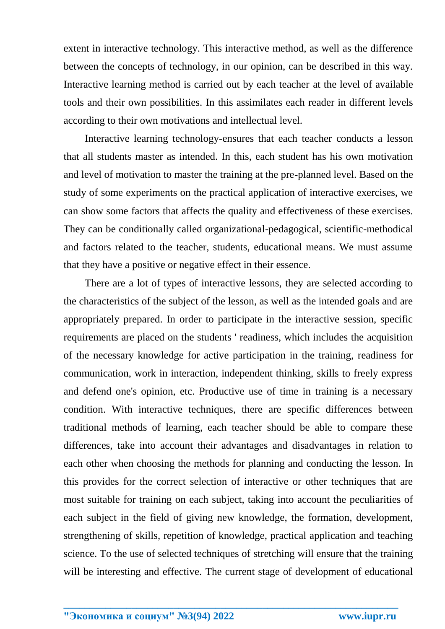extent in interactive technology. This interactive method, as well as the difference between the concepts of technology, in our opinion, can be described in this way. Interactive learning method is carried out by each teacher at the level of available tools and their own possibilities. In this assimilates each reader in different levels according to their own motivations and intellectual level.

Interactive learning technology-ensures that each teacher conducts a lesson that all students master as intended. In this, each student has his own motivation and level of motivation to master the training at the pre-planned level. Based on the study of some experiments on the practical application of interactive exercises, we can show some factors that affects the quality and effectiveness of these exercises. They can be conditionally called organizational-pedagogical, scientific-methodical and factors related to the teacher, students, educational means. We must assume that they have a positive or negative effect in their essence.

There are a lot of types of interactive lessons, they are selected according to the characteristics of the subject of the lesson, as well as the intended goals and are appropriately prepared. In order to participate in the interactive session, specific requirements are placed on the students ' readiness, which includes the acquisition of the necessary knowledge for active participation in the training, readiness for communication, work in interaction, independent thinking, skills to freely express and defend one's opinion, etc. Productive use of time in training is a necessary condition. With interactive techniques, there are specific differences between traditional methods of learning, each teacher should be able to compare these differences, take into account their advantages and disadvantages in relation to each other when choosing the methods for planning and conducting the lesson. In this provides for the correct selection of interactive or other techniques that are most suitable for training on each subject, taking into account the peculiarities of each subject in the field of giving new knowledge, the formation, development, strengthening of skills, repetition of knowledge, practical application and teaching science. To the use of selected techniques of stretching will ensure that the training will be interesting and effective. The current stage of development of educational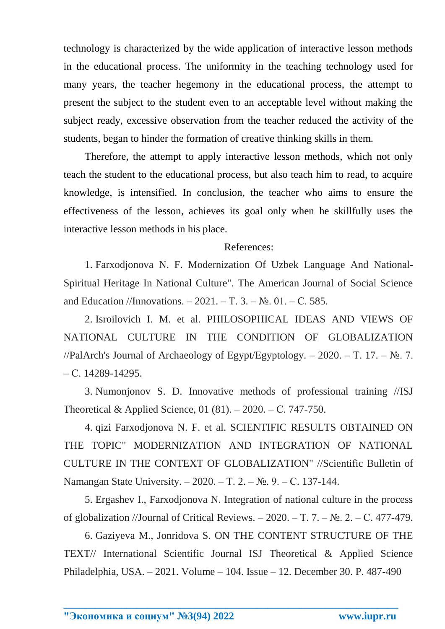technology is characterized by the wide application of interactive lesson methods in the educational process. The uniformity in the teaching technology used for many years, the teacher hegemony in the educational process, the attempt to present the subject to the student even to an acceptable level without making the subject ready, excessive observation from the teacher reduced the activity of the students, began to hinder the formation of creative thinking skills in them.

Therefore, the attempt to apply interactive lesson methods, which not only teach the student to the educational process, but also teach him to read, to acquire knowledge, is intensified. In conclusion, the teacher who aims to ensure the effectiveness of the lesson, achieves its goal only when he skillfully uses the interactive lesson methods in his place.

## References:

1. Farxodjonova N. F. Modernization Of Uzbek Language And National-Spiritual Heritage In National Culture". The American Journal of Social Science and Education //Innovations. – 2021. – T. 3. – №. 01. – С. 585.

2. Isroilovich I. M. et al. PHILOSOPHICAL IDEAS AND VIEWS OF NATIONAL CULTURE IN THE CONDITION OF GLOBALIZATION //PalArch's Journal of Archaeology of Egypt/Egyptology. – 2020. – T. 17. –  $\mathbb{N}_2$ . 7. – С. 14289-14295.

3. Numonjonov S. D. Innovative methods of professional training //ISJ Theoretical & Applied Science, 01 (81). – 2020. – С. 747-750.

4. qizi Farxodjonova N. F. et al. SCIENTIFIC RESULTS OBTAINED ON THE TOPIC" MODERNIZATION AND INTEGRATION OF NATIONAL CULTURE IN THE CONTEXT OF GLOBALIZATION" //Scientific Bulletin of Namangan State University. – 2020. – T. 2. – №. 9. – C. 137-144.

5. Ergashev I., Farxodjonova N. Integration of national culture in the process of globalization //Journal of Critical Reviews.  $-2020$ .  $-\mathrm{T}$ . 7.  $-\mathrm{Ne}$ . 2.  $-\mathrm{C}$ . 477-479.

6. Gaziyeva M., Jonridova S. ON THE CONTENT STRUCTURE OF THE TEXT// International Scientific Journal ISJ Theoretical & Applied Science Philadelphia, USA. – 2021. Volume – 104. Issue – 12. December 30. P. 487-490